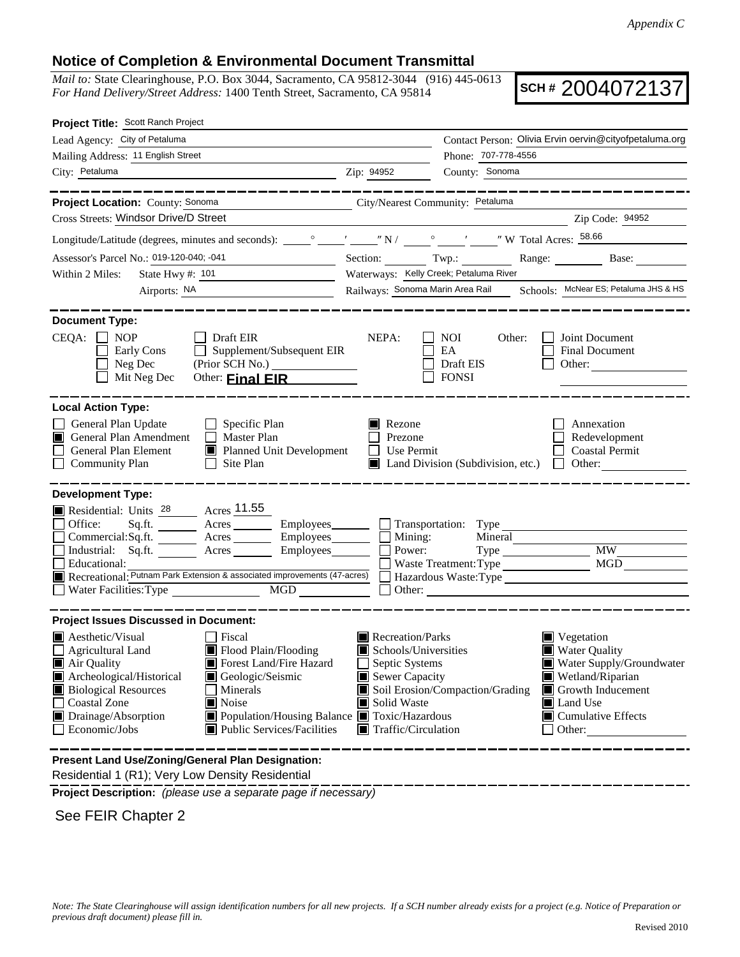## **Notice of Completion & Environmental Document Transmittal**

*Mail to:* State Clearinghouse, P.O. Box 3044, Sacramento, CA 95812-3044 (916) 445-0613 *For Hand Delivery/Street Address:* 1400 Tenth Street, Sacramento, CA 95814

**SCH #** 2004072137

| Project Title: Scott Ranch Project                                                                                                                                                                                                                                                                                                                                                 |                                                                                                                                                                      |                                                                                                                                                                           |
|------------------------------------------------------------------------------------------------------------------------------------------------------------------------------------------------------------------------------------------------------------------------------------------------------------------------------------------------------------------------------------|----------------------------------------------------------------------------------------------------------------------------------------------------------------------|---------------------------------------------------------------------------------------------------------------------------------------------------------------------------|
| Lead Agency: City of Petaluma                                                                                                                                                                                                                                                                                                                                                      |                                                                                                                                                                      | Contact Person: Olivia Ervin oervin@cityofpetaluma.org                                                                                                                    |
| Mailing Address: 11 English Street                                                                                                                                                                                                                                                                                                                                                 | Phone: 707-778-4556                                                                                                                                                  |                                                                                                                                                                           |
| City: Petaluma<br><u>2</u> Zip: 94952                                                                                                                                                                                                                                                                                                                                              | County: Sonoma                                                                                                                                                       |                                                                                                                                                                           |
| ___________________<br>Project Location: County: Sonoma                                                                                                                                                                                                                                                                                                                            |                                                                                                                                                                      | . _ _ _ _ _ _ _ _ _ _ _ _ _ _ _ _ _                                                                                                                                       |
| Cross Streets: Windsor Drive/D Street                                                                                                                                                                                                                                                                                                                                              | City/Nearest Community: Petaluma                                                                                                                                     | Zip Code: 94952                                                                                                                                                           |
|                                                                                                                                                                                                                                                                                                                                                                                    | <u> 2002 - Johann Stoff, deutscher Stoffen und der Stoffen und der Stoffen und der Stoffen und der Stoffen und der </u>                                              |                                                                                                                                                                           |
|                                                                                                                                                                                                                                                                                                                                                                                    |                                                                                                                                                                      |                                                                                                                                                                           |
| Assessor's Parcel No.: 019-120-040; -041<br><u> 1989 - Johann Barbara, martin a</u>                                                                                                                                                                                                                                                                                                | Section: Twp.:                                                                                                                                                       | Range: Base:                                                                                                                                                              |
| Within 2 Miles:<br>State Hwy $\#$ : $101$                                                                                                                                                                                                                                                                                                                                          | Waterways: Kelly Creek; Petaluma River<br>Railways: Sonoma Marin Area Rail Schools: McNear ES; Petaluma JHS & HS                                                     |                                                                                                                                                                           |
| Airports: NA<br><u> 1989 - Johann Barn, mars an t-Amerikaansk kommunister (</u>                                                                                                                                                                                                                                                                                                    |                                                                                                                                                                      |                                                                                                                                                                           |
| <b>Document Type:</b><br>$CEQA: \Box NP$<br>Draft EIR<br>$\Box$ Supplement/Subsequent EIR<br>Early Cons<br>Neg Dec<br>Mit Neg Dec<br>Other: <b>Final EIR</b>                                                                                                                                                                                                                       | NEPA:<br><b>NOI</b><br>Other:<br>EA<br>Draft EIS<br><b>FONSI</b>                                                                                                     | Joint Document<br>Final Document<br>Other:                                                                                                                                |
| <b>Local Action Type:</b><br>General Plan Update<br>$\Box$ Specific Plan<br>Master Plan<br>General Plan Amendment<br>General Plan Element<br>Planned Unit Development<br><b>Community Plan</b><br>Site Plan<br>$\Box$                                                                                                                                                              | Rezone<br>Prezone<br>П<br>Use Permit<br>Land Division (Subdivision, etc.)                                                                                            | Annexation<br>Redevelopment<br><b>Coastal Permit</b><br>$\Box$<br>Other:                                                                                                  |
| <b>Development Type:</b><br>Residential: Units 28 Acres 11.55<br>Office:<br>Sq.ft. __________ Acres ____________ Employees_________<br>Commercial:Sq.ft. ________ Acres _________ Employees_______<br>Industrial: Sq.ft. Acres Employees<br>Educational:<br>Recreational: Putnam Park Extension & associated improvements (47-acres)<br>Water Facilities: Type<br>$\overline{MGD}$ | $\Box$ Mining:<br>Mineral<br>Power:<br>Hazardous Waste:Type<br>Other:                                                                                                | Type MW                                                                                                                                                                   |
| <b>Project Issues Discussed in Document:</b>                                                                                                                                                                                                                                                                                                                                       |                                                                                                                                                                      |                                                                                                                                                                           |
| <b>A</b> esthetic/Visual<br>  Fiscal<br>$\Box$ Agricultural Land<br>Flood Plain/Flooding<br>Forest Land/Fire Hazard<br>■ Air Quality<br>Archeological/Historical<br>Geologic/Seismic<br><b>Biological Resources</b><br>Minerals<br>Coastal Zone<br>Noise<br>■ Population/Housing Balance ■ Toxic/Hazardous<br>Drainage/Absorption<br>Public Services/Facilities<br>Economic/Jobs   | Recreation/Parks<br>Schools/Universities<br>Septic Systems<br>Sewer Capacity<br>Soil Erosion/Compaction/Grading<br>Solid Waste<br>$\blacksquare$ Traffic/Circulation | $\blacksquare$ Vegetation<br><b>Water Quality</b><br>Water Supply/Groundwater<br>Wetland/Riparian<br>Growth Inducement<br>Land Use<br>$\Box$ Cumulative Effects<br>Other: |
| Present Land Use/Zoning/General Plan Designation:                                                                                                                                                                                                                                                                                                                                  |                                                                                                                                                                      |                                                                                                                                                                           |

Residential 1 (R1); Very Low Density Residential

**Project Description:** *(please use a separate page if necessary)*

See FEIR Chapter 2